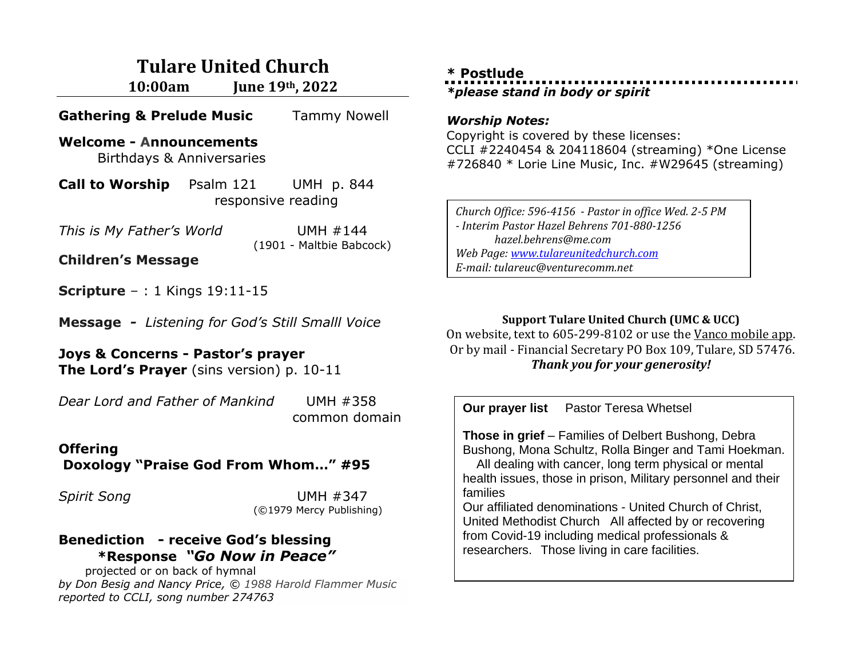## **Tulare United Church**

**10:00am June 19th, 2022**

**Gathering & Prelude Music** Tammy Nowell

#### **Welcome - Announcements**  Birthdays & Anniversaries

**Call to Worship Psalm 121** UMH p. 844 responsive reading

*This is My Father's World* UMH #144 (1901 - Maltbie Babcock)

**Children's Message**

**Scripture** – : 1 Kings 19:11-15

**Message** *- Listening for God's Still Smalll Voice*

**Joys & Concerns - Pastor's prayer The Lord's Prayer** (sins version) p. 10-11

*[Dear Lord and Father of Mankind](https://hymnary.org/text/dear_lord_and_father_of_mankind)* UMH #358 common domain

# **Offering**

**Doxology "Praise God From Whom…" #95**

*Spirit Song* UMH #347 (©1979 Mercy Publishing)

#### **Benediction - receive God's blessing \*Response** *"Go Now in Peace"*

projected or on back of hymnal *by Don Besig and Nancy Price, © 1988 Harold Flammer Music reported to CCLI, song number 274763*

### **\* Postlude** *\*please stand in body or spirit*

#### *Worship Notes:*

Copyright is covered by these licenses: CCLI #2240454 & 204118604 (streaming) \*One License #726840 \* Lorie Line Music, Inc. #W29645 (streaming)

*Church Office: 596-4156 - Pastor in office Wed. 2-5 PM - Interim Pastor Hazel Behrens 701-880-1256 hazel.behrens@me.com Web Page[: www.tulareunitedchurch.com](http://www.tulareunitedchurch.com/) E-mail: tulareuc@venturecomm.net*

#### **Support Tulare United Church (UMC & UCC)**

On website, text to 605-299-8102 or use the Vanco mobile app. Or by mail - Financial Secretary PO Box 109, Tulare, SD 57476. *Thank you for your generosity!*

**Our prayer list** Pastor Teresa Whetsel **Those in grief** – Families of Delbert Bushong, Debra Bushong, Mona Schultz, Rolla Binger and Tami Hoekman. All dealing with cancer, long term physical or mental health issues, those in prison, Military personnel and their families Our affiliated denominations - United Church of Christ, United Methodist Church All affected by or recovering from Covid-19 including medical professionals & researchers. Those living in care facilities.